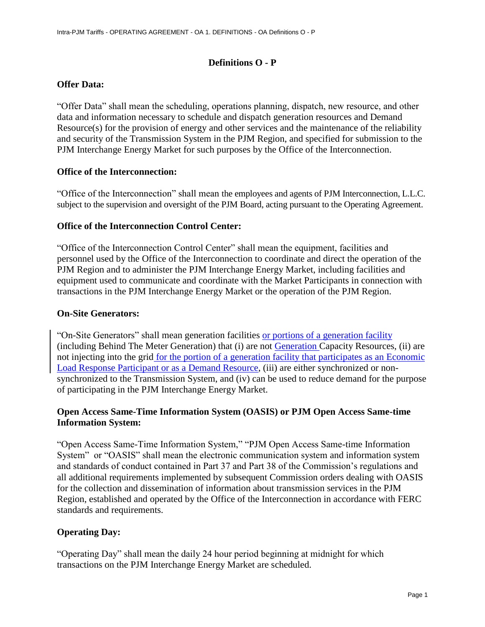## **Definitions O - P**

## **Offer Data:**

"Offer Data" shall mean the scheduling, operations planning, dispatch, new resource, and other data and information necessary to schedule and dispatch generation resources and Demand Resource(s) for the provision of energy and other services and the maintenance of the reliability and security of the Transmission System in the PJM Region, and specified for submission to the PJM Interchange Energy Market for such purposes by the Office of the Interconnection.

### **Office of the Interconnection:**

"Office of the Interconnection" shall mean the employees and agents of PJM Interconnection, L.L.C. subject to the supervision and oversight of the PJM Board, acting pursuant to the Operating Agreement.

### **Office of the Interconnection Control Center:**

"Office of the Interconnection Control Center" shall mean the equipment, facilities and personnel used by the Office of the Interconnection to coordinate and direct the operation of the PJM Region and to administer the PJM Interchange Energy Market, including facilities and equipment used to communicate and coordinate with the Market Participants in connection with transactions in the PJM Interchange Energy Market or the operation of the PJM Region.

#### **On-Site Generators:**

"On-Site Generators" shall mean generation facilities or portions of a generation facility (including Behind The Meter Generation) that (i) are not Generation Capacity Resources, (ii) are not injecting into the grid for the portion of a generation facility that participates as an Economic Load Response Participant or as a Demand Resource, (iii) are either synchronized or nonsynchronized to the Transmission System, and (iv) can be used to reduce demand for the purpose of participating in the PJM Interchange Energy Market.

## **Open Access Same-Time Information System (OASIS) or PJM Open Access Same-time Information System:**

"Open Access Same-Time Information System," "PJM Open Access Same-time Information System" or "OASIS" shall mean the electronic communication system and information system and standards of conduct contained in Part 37 and Part 38 of the Commission's regulations and all additional requirements implemented by subsequent Commission orders dealing with OASIS for the collection and dissemination of information about transmission services in the PJM Region, established and operated by the Office of the Interconnection in accordance with FERC standards and requirements.

### **Operating Day:**

"Operating Day" shall mean the daily 24 hour period beginning at midnight for which transactions on the PJM Interchange Energy Market are scheduled.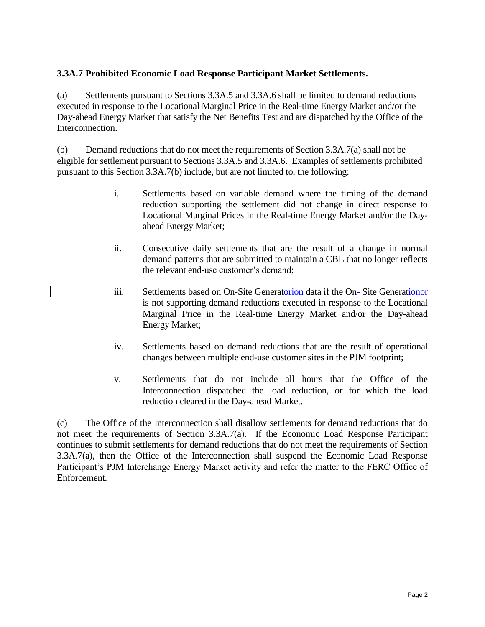# **3.3A.7 Prohibited Economic Load Response Participant Market Settlements.**

(a) Settlements pursuant to Sections 3.3A.5 and 3.3A.6 shall be limited to demand reductions executed in response to the Locational Marginal Price in the Real-time Energy Market and/or the Day-ahead Energy Market that satisfy the Net Benefits Test and are dispatched by the Office of the Interconnection.

(b) Demand reductions that do not meet the requirements of Section 3.3A.7(a) shall not be eligible for settlement pursuant to Sections 3.3A.5 and 3.3A.6. Examples of settlements prohibited pursuant to this Section 3.3A.7(b) include, but are not limited to, the following:

- i. Settlements based on variable demand where the timing of the demand reduction supporting the settlement did not change in direct response to Locational Marginal Prices in the Real-time Energy Market and/or the Dayahead Energy Market;
- ii. Consecutive daily settlements that are the result of a change in normal demand patterns that are submitted to maintain a CBL that no longer reflects the relevant end-use customer's demand;
- iii. Settlements based on On-Site Generatorion data if the On-Site Generationor is not supporting demand reductions executed in response to the Locational Marginal Price in the Real-time Energy Market and/or the Day-ahead Energy Market;
- iv. Settlements based on demand reductions that are the result of operational changes between multiple end-use customer sites in the PJM footprint;
- v. Settlements that do not include all hours that the Office of the Interconnection dispatched the load reduction, or for which the load reduction cleared in the Day-ahead Market.

(c) The Office of the Interconnection shall disallow settlements for demand reductions that do not meet the requirements of Section 3.3A.7(a). If the Economic Load Response Participant continues to submit settlements for demand reductions that do not meet the requirements of Section 3.3A.7(a), then the Office of the Interconnection shall suspend the Economic Load Response Participant's PJM Interchange Energy Market activity and refer the matter to the FERC Office of Enforcement.